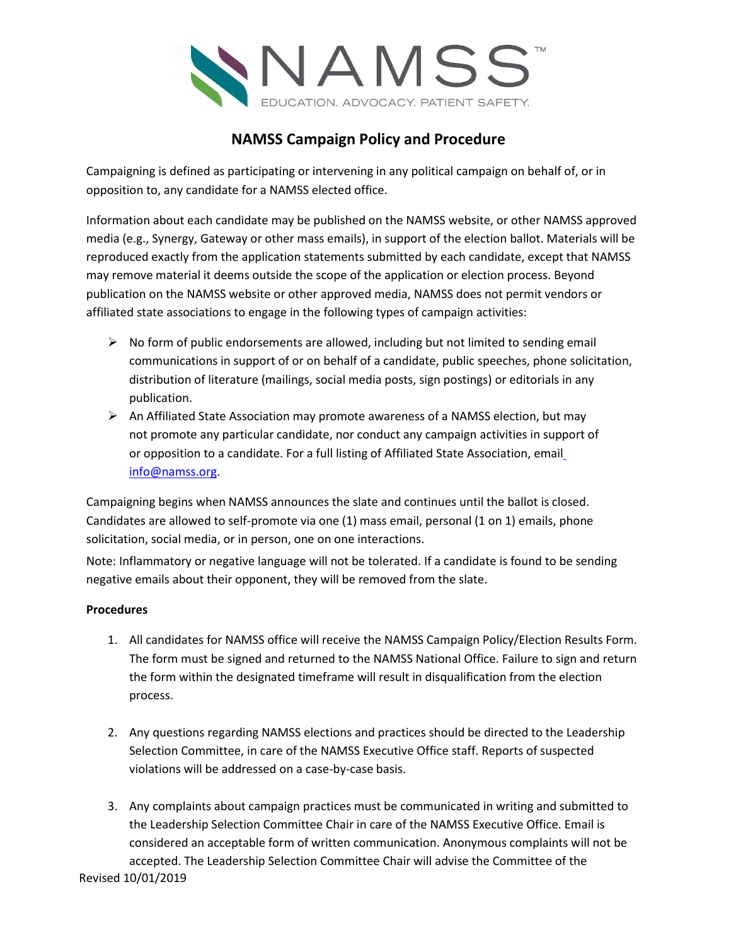

## **NAMSS Campaign Policy and Procedure**

Campaigning is defined as participating or intervening in any political campaign on behalf of, or in opposition to, any candidate for a NAMSS elected office.

Information about each candidate may be published on the NAMSS website, or other NAMSS approved media (e.g., Synergy, Gateway or other mass emails), in support of the election ballot. Materials will be reproduced exactly from the application statements submitted by each candidate, except that NAMSS may remove material it deems outside the scope of the application or election process. Beyond publication on the NAMSS website or other approved media, NAMSS does not permit vendors or affiliated state associations to engage in the following types of campaign activities:

- $\triangleright$  No form of public endorsements are allowed, including but not limited to sending email communications in support of or on behalf of a candidate, public speeches, phone solicitation, distribution of literature (mailings, social media posts, sign postings) or editorials in any publication.
- $\triangleright$  An Affiliated State Association may promote awareness of a NAMSS election, but may not promote any particular candidate, nor conduct any campaign activities in support of or opposition to a candidate. For a full listing of Affiliated State Association, emai[l](mailto:info@namss.org) [info@namss.org.](mailto:info@namss.org)

Campaigning begins when NAMSS announces the slate and continues until the ballot is closed. Candidates are allowed to self-promote via one (1) mass email, personal (1 on 1) emails, phone solicitation, social media, or in person, one on one interactions.

Note: Inflammatory or negative language will not be tolerated. If a candidate is found to be sending negative emails about their opponent, they will be removed from the slate.

## **Procedures**

- 1. All candidates for NAMSS office will receive the NAMSS Campaign Policy/Election Results Form. The form must be signed and returned to the NAMSS National Office. Failure to sign and return the form within the designated timeframe will result in disqualification from the election process.
- 2. Any questions regarding NAMSS elections and practices should be directed to the Leadership Selection Committee, in care of the NAMSS Executive Office staff. Reports of suspected violations will be addressed on a case-by-case basis.
- Revised 10/01/2019 3. Any complaints about campaign practices must be communicated in writing and submitted to the Leadership Selection Committee Chair in care of the NAMSS Executive Office. Email is considered an acceptable form of written communication. Anonymous complaints will not be accepted. The Leadership Selection Committee Chair will advise the Committee of the